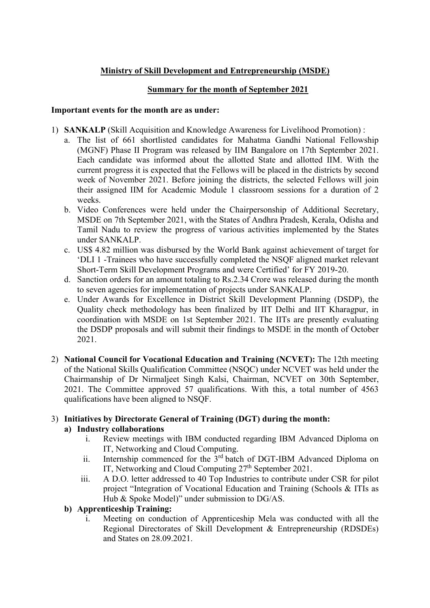# Ministry of Skill Development and Entrepreneurship (MSDE)

### Summary for the month of September 2021

#### Important events for the month are as under:

- 1) SANKALP (Skill Acquisition and Knowledge Awareness for Livelihood Promotion) :
	- a. The list of 661 shortlisted candidates for Mahatma Gandhi National Fellowship (MGNF) Phase II Program was released by IIM Bangalore on 17th September 2021. Each candidate was informed about the allotted State and allotted IIM. With the current progress it is expected that the Fellows will be placed in the districts by second week of November 2021. Before joining the districts, the selected Fellows will join their assigned IIM for Academic Module 1 classroom sessions for a duration of 2 weeks.
	- b. Video Conferences were held under the Chairpersonship of Additional Secretary, MSDE on 7th September 2021, with the States of Andhra Pradesh, Kerala, Odisha and Tamil Nadu to review the progress of various activities implemented by the States under SANKALP.
	- c. US\$ 4.82 million was disbursed by the World Bank against achievement of target for 'DLI 1 -Trainees who have successfully completed the NSQF aligned market relevant Short-Term Skill Development Programs and were Certified' for FY 2019-20.
	- d. Sanction orders for an amount totaling to Rs.2.34 Crore was released during the month to seven agencies for implementation of projects under SANKALP.
	- e. Under Awards for Excellence in District Skill Development Planning (DSDP), the Quality check methodology has been finalized by IIT Delhi and IIT Kharagpur, in coordination with MSDE on 1st September 2021. The IITs are presently evaluating the DSDP proposals and will submit their findings to MSDE in the month of October 2021.
- 2) National Council for Vocational Education and Training (NCVET): The 12th meeting of the National Skills Qualification Committee (NSQC) under NCVET was held under the Chairmanship of Dr Nirmaljeet Singh Kalsi, Chairman, NCVET on 30th September, 2021. The Committee approved 57 qualifications. With this, a total number of 4563 qualifications have been aligned to NSQF.

## 3) Initiatives by Directorate General of Training (DGT) during the month: a) Industry collaborations

- i. Review meetings with IBM conducted regarding IBM Advanced Diploma on IT, Networking and Cloud Computing.
- ii. Internship commenced for the 3<sup>rd</sup> batch of DGT-IBM Advanced Diploma on IT, Networking and Cloud Computing 27<sup>th</sup> September 2021.
- iii. A D.O. letter addressed to 40 Top Industries to contribute under CSR for pilot project "Integration of Vocational Education and Training (Schools & ITIs as Hub & Spoke Model)" under submission to DG/AS.

### b) Apprenticeship Training:

i. Meeting on conduction of Apprenticeship Mela was conducted with all the Regional Directorates of Skill Development & Entrepreneurship (RDSDEs) and States on 28.09.2021.